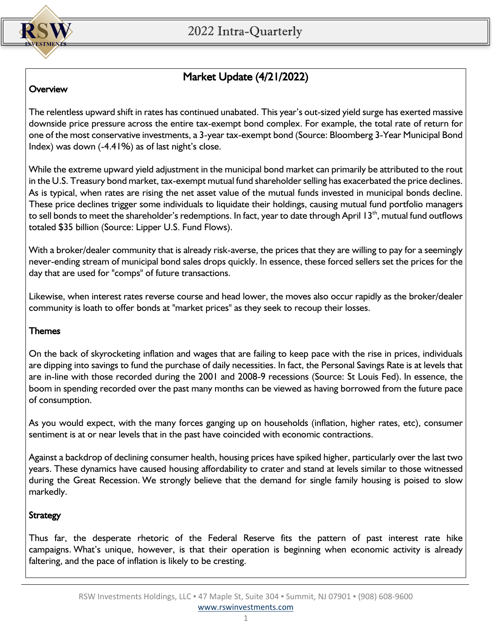

# Market Update (4/21/2022)

### **Overview**

The relentless upward shift in rates has continued unabated. This year's out-sized yield surge has exerted massive downside price pressure across the entire tax-exempt bond complex. For example, the total rate of return for one of the most conservative investments, a 3-year tax-exempt bond (Source: Bloomberg 3-Year Municipal Bond Index) was down (-4.41%) as of last night's close.

While the extreme upward yield adjustment in the municipal bond market can primarily be attributed to the rout in the U.S. Treasury bond market, tax-exempt mutual fund shareholder selling has exacerbated the price declines. As is typical, when rates are rising the net asset value of the mutual funds invested in municipal bonds decline. These price declines trigger some individuals to liquidate their holdings, causing mutual fund portfolio managers to sell bonds to meet the shareholder's redemptions. In fact, year to date through April 13<sup>th</sup>, mutual fund outflows totaled \$35 billion (Source: Lipper U.S. Fund Flows).

With a broker/dealer community that is already risk-averse, the prices that they are willing to pay for a seemingly never-ending stream of municipal bond sales drops quickly. In essence, these forced sellers set the prices for the day that are used for "comps" of future transactions.

Likewise, when interest rates reverse course and head lower, the moves also occur rapidly as the broker/dealer community is loath to offer bonds at "market prices" as they seek to recoup their losses.

#### Themes

On the back of skyrocketing inflation and wages that are failing to keep pace with the rise in prices, individuals are dipping into savings to fund the purchase of daily necessities. In fact, the Personal Savings Rate is at levels that are in-line with those recorded during the 2001 and 2008-9 recessions (Source: St Louis Fed). In essence, the boom in spending recorded over the past many months can be viewed as having borrowed from the future pace of consumption.

As you would expect, with the many forces ganging up on households (inflation, higher rates, etc), consumer sentiment is at or near levels that in the past have coincided with economic contractions.

Against a backdrop of declining consumer health, housing prices have spiked higher, particularly over the last two years. These dynamics have caused housing affordability to crater and stand at levels similar to those witnessed during the Great Recession. We strongly believe that the demand for single family housing is poised to slow markedly.

## **Strategy**

Thus far, the desperate rhetoric of the Federal Reserve fits the pattern of past interest rate hike campaigns. What's unique, however, is that their operation is beginning when economic activity is already faltering, and the pace of inflation is likely to be cresting.